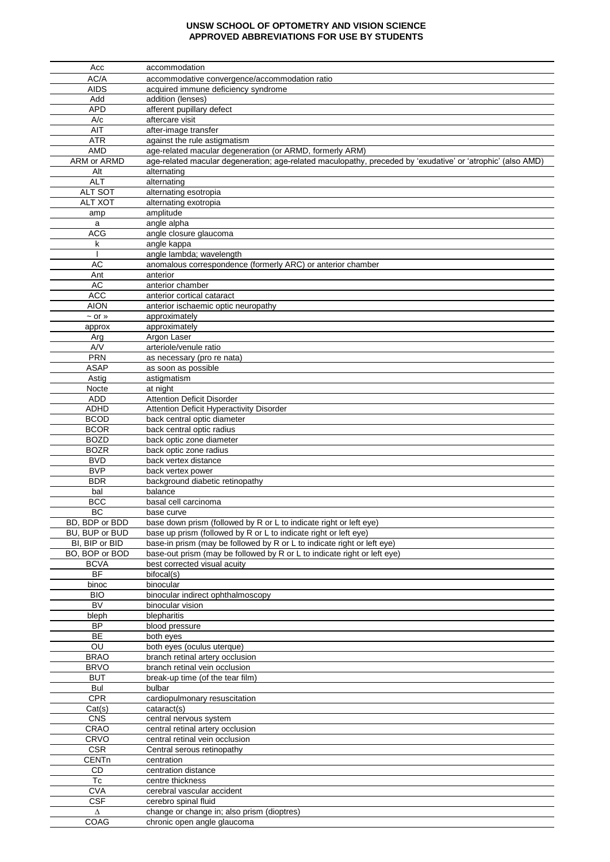| Acc                  | accommodation                                                                                               |
|----------------------|-------------------------------------------------------------------------------------------------------------|
| AC/A                 | accommodative convergence/accommodation ratio                                                               |
| <b>AIDS</b>          | acquired immune deficiency syndrome                                                                         |
| Add                  | addition (lenses)                                                                                           |
| <b>APD</b>           | afferent pupillary defect                                                                                   |
| A/c                  | aftercare visit                                                                                             |
| AIT                  | after-image transfer                                                                                        |
| <b>ATR</b>           | against the rule astigmatism                                                                                |
| <b>AMD</b>           | age-related macular degeneration (or ARMD, formerly ARM)                                                    |
| ARM or ARMD          | age-related macular degeneration; age-related maculopathy, preceded by 'exudative' or 'atrophic' (also AMD) |
| Alt                  | alternating                                                                                                 |
| <b>ALT</b>           | alternating                                                                                                 |
| <b>ALT SOT</b>       | alternating esotropia                                                                                       |
| <b>ALT XOT</b>       | alternating exotropia                                                                                       |
| amp                  | amplitude                                                                                                   |
| a                    | angle alpha                                                                                                 |
| <b>ACG</b>           | angle closure glaucoma                                                                                      |
| k                    | angle kappa                                                                                                 |
| AC                   | angle lambda; wavelength<br>anomalous correspondence (formerly ARC) or anterior chamber                     |
| Ant                  | anterior                                                                                                    |
| <b>AC</b>            | anterior chamber                                                                                            |
| <b>ACC</b>           | anterior cortical cataract                                                                                  |
| <b>AION</b>          | anterior ischaemic optic neuropathy                                                                         |
| $\sim$ or $\ast$     | approximately                                                                                               |
| approx               | approximately                                                                                               |
| Arg                  | Argon Laser                                                                                                 |
| AV                   | arteriole/venule ratio                                                                                      |
| <b>PRN</b>           | as necessary (pro re nata)                                                                                  |
| <b>ASAP</b>          | as soon as possible                                                                                         |
| Astig                | astigmatism                                                                                                 |
| Nocte                | at night                                                                                                    |
| ADD                  | <b>Attention Deficit Disorder</b>                                                                           |
| <b>ADHD</b>          | Attention Deficit Hyperactivity Disorder                                                                    |
| <b>BCOD</b>          | back central optic diameter                                                                                 |
| <b>BCOR</b>          | back central optic radius                                                                                   |
| <b>BOZD</b>          | back optic zone diameter                                                                                    |
| <b>BOZR</b>          | back optic zone radius                                                                                      |
| <b>BVD</b>           | back vertex distance                                                                                        |
| <b>BVP</b>           | back vertex power                                                                                           |
| <b>BDR</b>           | background diabetic retinopathy                                                                             |
| bal<br><b>BCC</b>    | balance                                                                                                     |
| <b>BC</b>            | basal cell carcinoma                                                                                        |
| BD, BDP or BDD       | base curve<br>base down prism (followed by R or L to indicate right or left eye)                            |
| BU, BUP or BUD       | base up prism (followed by R or L to indicate right or left eye)                                            |
| BI, BIP or BID       | base-in prism (may be followed by R or L to indicate right or left eye)                                     |
| BO, BOP or BOD       | base-out prism (may be followed by R or L to indicate right or left eye)                                    |
| <b>BCVA</b>          | best corrected visual acuity                                                                                |
| <b>BF</b>            | bifocal(s)                                                                                                  |
| binoc                | binocular                                                                                                   |
| <b>BIO</b>           | binocular indirect ophthalmoscopy                                                                           |
| <b>BV</b>            | binocular vision                                                                                            |
| bleph                | blepharitis                                                                                                 |
| <b>BP</b>            | blood pressure                                                                                              |
| BE                   | both eyes                                                                                                   |
| OU                   | both eyes (oculus uterque)                                                                                  |
| <b>BRAO</b>          | branch retinal artery occlusion                                                                             |
| <b>BRVO</b>          | branch retinal vein occlusion                                                                               |
| <b>BUT</b>           | break-up time (of the tear film)                                                                            |
| Bul                  | bulbar                                                                                                      |
| <b>CPR</b>           | cardiopulmonary resuscitation                                                                               |
| Cat(s)<br><b>CNS</b> | cataract(s)<br>central nervous system                                                                       |
| CRAO                 | central retinal artery occlusion                                                                            |
| <b>CRVO</b>          | central retinal vein occlusion                                                                              |
| <b>CSR</b>           | Central serous retinopathy                                                                                  |
| CENTn                | centration                                                                                                  |
| CD                   | centration distance                                                                                         |
| Tc                   | centre thickness                                                                                            |
| <b>CVA</b>           | cerebral vascular accident                                                                                  |
| <b>CSF</b>           | cerebro spinal fluid                                                                                        |
| Δ                    | change or change in; also prism (dioptres)                                                                  |
| COAG                 | chronic open angle glaucoma                                                                                 |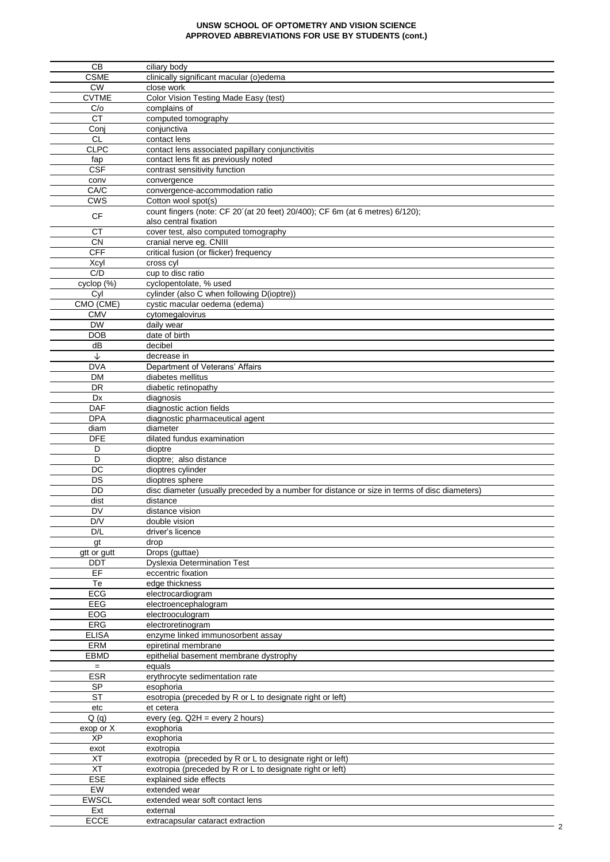| CB           | ciliary body                                                                                 |
|--------------|----------------------------------------------------------------------------------------------|
| <b>CSME</b>  | clinically significant macular (o)edema                                                      |
| <b>CW</b>    | close work                                                                                   |
| <b>CVTME</b> | Color Vision Testing Made Easy (test)                                                        |
| C/O          | complains of                                                                                 |
| <b>CT</b>    | computed tomography                                                                          |
| Conj         | conjunctiva                                                                                  |
| <b>CL</b>    |                                                                                              |
|              | contact lens                                                                                 |
| <b>CLPC</b>  | contact lens associated papillary conjunctivitis                                             |
| fap          | contact lens fit as previously noted                                                         |
| <b>CSF</b>   | contrast sensitivity function                                                                |
| conv         | convergence                                                                                  |
| CA/C         | convergence-accommodation ratio                                                              |
| <b>CWS</b>   | Cotton wool spot(s)                                                                          |
| <b>CF</b>    | count fingers (note: CF 20'(at 20 feet) 20/400); CF 6m (at 6 metres) 6/120);                 |
|              | also central fixation                                                                        |
| <b>CT</b>    | cover test, also computed tomography                                                         |
| <b>CN</b>    | cranial nerve eg. CNIII                                                                      |
| <b>CFF</b>   | critical fusion (or flicker) frequency                                                       |
| Xcyl         | cross cyl                                                                                    |
| C/D          | cup to disc ratio                                                                            |
| cyclop (%)   | cyclopentolate, % used                                                                       |
| Cyl          | cylinder (also C when following D(ioptre))                                                   |
|              |                                                                                              |
| CMO (CME)    | cystic macular oedema (edema)                                                                |
| <b>CMV</b>   | cytomegalovirus                                                                              |
| <b>DW</b>    | daily wear                                                                                   |
| <b>DOB</b>   | date of birth                                                                                |
| dB           | decibel                                                                                      |
| ↓            | decrease in                                                                                  |
| <b>DVA</b>   | Department of Veterans' Affairs                                                              |
| DM           | diabetes mellitus                                                                            |
| <b>DR</b>    | diabetic retinopathy                                                                         |
| Dx           | diagnosis                                                                                    |
| <b>DAF</b>   | diagnostic action fields                                                                     |
|              |                                                                                              |
| <b>DPA</b>   | diagnostic pharmaceutical agent                                                              |
| diam         | diameter                                                                                     |
| <b>DFE</b>   | dilated fundus examination                                                                   |
| D            | dioptre                                                                                      |
| D            | dioptre; also distance                                                                       |
| DC           | dioptres cylinder                                                                            |
| DS           | dioptres sphere                                                                              |
| DD           | disc diameter (usually preceded by a number for distance or size in terms of disc diameters) |
| dist         | distance                                                                                     |
| DV           | distance vision                                                                              |
| D/V          | double vision                                                                                |
| D/L          | driver's licence                                                                             |
|              |                                                                                              |
| gt           | drop                                                                                         |
| gtt or gutt  | Drops (guttae)                                                                               |
| DDT          | <b>Dyslexia Determination Test</b>                                                           |
| EF           | eccentric fixation                                                                           |
| Te           | edge thickness                                                                               |
| ECG          | electrocardiogram                                                                            |
| EEG          | electroencephalogram                                                                         |
| EOG          | electrooculogram                                                                             |
| ERG          | electroretinogram                                                                            |
| <b>ELISA</b> | enzyme linked immunosorbent assay                                                            |
| ERM          | epiretinal membrane                                                                          |
| <b>EBMD</b>  | epithelial basement membrane dystrophy                                                       |
| $=$          | equals                                                                                       |
| ESR          | erythrocyte sedimentation rate                                                               |
| <b>SP</b>    | esophoria                                                                                    |
|              |                                                                                              |
| ST           | esotropia (preceded by R or L to designate right or left)                                    |
| etc          | et cetera                                                                                    |
| Q(q)         | every (eg. $Q2H = eV$ ery 2 hours)                                                           |
| exop or X    | exophoria                                                                                    |
| XP           | exophoria                                                                                    |
| exot         | exotropia                                                                                    |
| XT           | exotropia (preceded by R or L to designate right or left)                                    |
| XT           | exotropia (preceded by R or L to designate right or left)                                    |
| ESE          | explained side effects                                                                       |
| EW           | extended wear                                                                                |
| <b>EWSCL</b> | extended wear soft contact lens                                                              |
|              |                                                                                              |
| Ext          | external                                                                                     |
| ECCE         | extracapsular cataract extraction                                                            |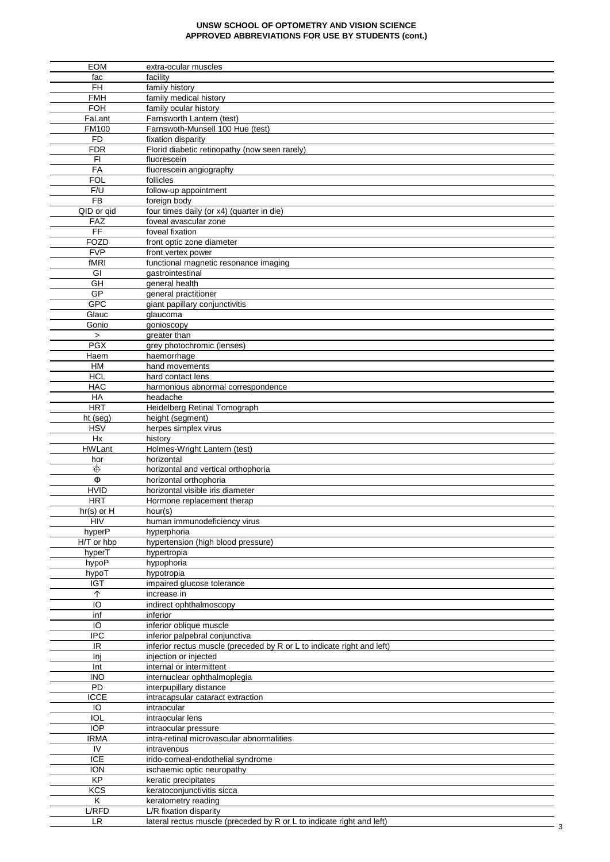| <b>EOM</b>                   | extra-ocular muscles                                                   |
|------------------------------|------------------------------------------------------------------------|
| fac                          | facility                                                               |
| <b>FH</b>                    | family history                                                         |
| <b>FMH</b>                   | family medical history                                                 |
| <b>FOH</b>                   | family ocular history                                                  |
| FaLant                       | Farnsworth Lantern (test)                                              |
| <b>FM100</b>                 | Farnswoth-Munsell 100 Hue (test)                                       |
| <b>FD</b>                    | fixation disparity                                                     |
| <b>FDR</b>                   | Florid diabetic retinopathy (now seen rarely)                          |
| F <sub>1</sub>               | fluorescein                                                            |
| FA                           | fluorescein angiography                                                |
| <b>FOL</b>                   | follicles                                                              |
| F/U                          | follow-up appointment                                                  |
| <b>FB</b>                    | foreign body                                                           |
| QID or gid                   | four times daily (or x4) (quarter in die)                              |
| FAZ                          | foveal avascular zone                                                  |
| FF                           | foveal fixation                                                        |
| <b>FOZD</b>                  | front optic zone diameter                                              |
| <b>FVP</b>                   | front vertex power                                                     |
| fMRI                         | functional magnetic resonance imaging                                  |
| GI                           | gastrointestinal                                                       |
| GH                           | general health                                                         |
| GP                           | general practitioner                                                   |
| <b>GPC</b>                   | giant papillary conjunctivitis                                         |
| Glauc                        | glaucoma                                                               |
| Gonio                        | gonioscopy                                                             |
| $\, >$                       | greater than                                                           |
| <b>PGX</b>                   | grey photochromic (lenses)                                             |
| Haem                         | haemorrhage                                                            |
| HM                           | hand movements                                                         |
| <b>HCL</b>                   | hard contact lens                                                      |
| HAC                          | harmonious abnormal correspondence                                     |
| HA                           | headache                                                               |
| <b>HRT</b>                   | Heidelberg Retinal Tomograph                                           |
| ht (seg)                     | height (segment)                                                       |
| <b>HSV</b>                   | herpes simplex virus                                                   |
| Hx                           | history                                                                |
| <b>HWLant</b>                | Holmes-Wright Lantern (test)                                           |
| hor<br>⊕                     | horizontal                                                             |
|                              | horizontal and vertical orthophoria                                    |
| Φ                            | horizontal orthophoria                                                 |
| <b>HVID</b><br><b>HRT</b>    | horizontal visible iris diameter                                       |
|                              | Hormone replacement therap                                             |
| $hr(s)$ or $H$<br><b>HIV</b> | hour(s)<br>human immunodeficiency virus                                |
| hyperP                       | hyperphoria                                                            |
| H/T or hbp                   | hypertension (high blood pressure)                                     |
| hyperT                       | hypertropia                                                            |
| hypoP                        | hypophoria                                                             |
| hypoT                        | hypotropia                                                             |
| IGT                          | impaired glucose tolerance                                             |
| $\uparrow$                   | increase in                                                            |
| IO                           | indirect ophthalmoscopy                                                |
| inf                          | inferior                                                               |
| IO                           | inferior oblique muscle                                                |
| <b>IPC</b>                   | inferior palpebral conjunctiva                                         |
| IR                           | inferior rectus muscle (preceded by R or L to indicate right and left) |
| Inj                          | injection or injected                                                  |
| Int                          | internal or intermittent                                               |
| <b>INO</b>                   | internuclear ophthalmoplegia                                           |
| PD                           | interpupillary distance                                                |
| <b>ICCE</b>                  | intracapsular cataract extraction                                      |
| IO                           | intraocular                                                            |
| <b>IOL</b>                   | intraocular lens                                                       |
| <b>IOP</b>                   | intraocular pressure                                                   |
| <b>IRMA</b>                  | intra-retinal microvascular abnormalities                              |
| IV                           | intravenous                                                            |
| ICE                          | irido-corneal-endothelial syndrome                                     |
| <b>ION</b>                   | ischaemic optic neuropathy                                             |
| KP                           | keratic precipitates                                                   |
| KCS                          | keratoconjunctivitis sicca                                             |
| Κ                            | keratometry reading                                                    |
| L/RED                        | L/R fixation disparity                                                 |
| <b>LR</b>                    | lateral rectus muscle (preceded by R or L to indicate right and left)  |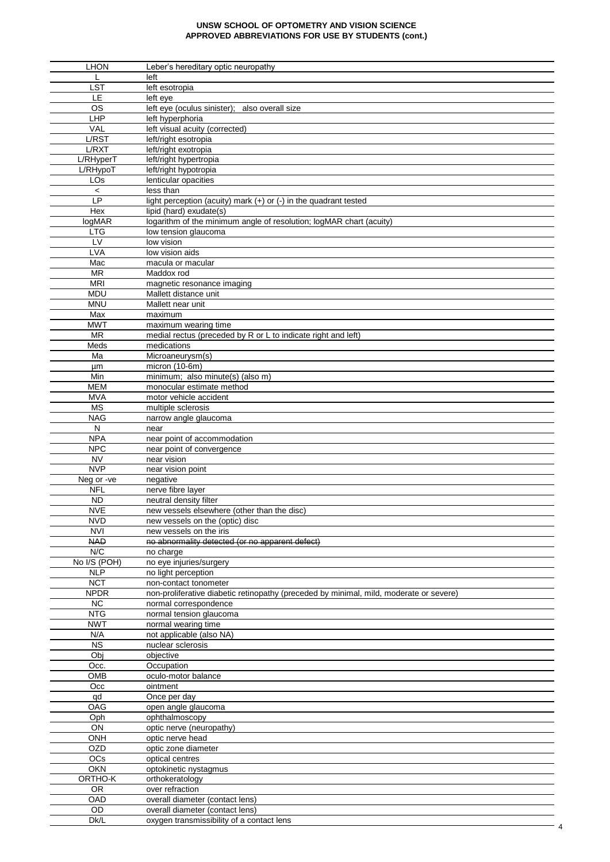| <b>LHON</b>  | Leber's hereditary optic neuropathy                                                    |
|--------------|----------------------------------------------------------------------------------------|
|              | left                                                                                   |
| LST          | left esotropia                                                                         |
| LE           |                                                                                        |
|              | left eye                                                                               |
| <b>OS</b>    | left eye (oculus sinister); also overall size                                          |
| LHP          | left hyperphoria                                                                       |
| VAL          | left visual acuity (corrected)                                                         |
| L/RST        | left/right esotropia                                                                   |
| L/RXT        | left/right exotropia                                                                   |
| L/RHyperT    | left/right hypertropia                                                                 |
| L/RHypoT     | left/right hypotropia                                                                  |
|              |                                                                                        |
| LOs          | lenticular opacities                                                                   |
| $\,<\,$      | less than                                                                              |
| <b>LP</b>    | light perception (acuity) mark $(+)$ or $(-)$ in the quadrant tested                   |
| Hex          | lipid (hard) exudate(s)                                                                |
| logMAR       | logarithm of the minimum angle of resolution; logMAR chart (acuity)                    |
| <b>LTG</b>   | low tension glaucoma                                                                   |
| LV           | low vision                                                                             |
| <b>LVA</b>   | low vision aids                                                                        |
|              |                                                                                        |
| Mac          | macula or macular                                                                      |
| <b>MR</b>    | Maddox rod                                                                             |
| <b>MRI</b>   | magnetic resonance imaging                                                             |
| <b>MDU</b>   | Mallett distance unit                                                                  |
| <b>MNU</b>   | Mallett near unit                                                                      |
| Max          | maximum                                                                                |
| <b>MWT</b>   | maximum wearing time                                                                   |
|              |                                                                                        |
| <b>MR</b>    | medial rectus (preceded by R or L to indicate right and left)                          |
| Meds         | medications                                                                            |
| Ma           | Microaneurysm(s)                                                                       |
| μm           | micron (10-6m)                                                                         |
| <b>Min</b>   | minimum; also minute(s) (also m)                                                       |
| MEM          | monocular estimate method                                                              |
| <b>MVA</b>   | motor vehicle accident                                                                 |
| <b>MS</b>    |                                                                                        |
|              | multiple sclerosis                                                                     |
| <b>NAG</b>   | narrow angle glaucoma                                                                  |
| ${\sf N}$    | near                                                                                   |
| <b>NPA</b>   | near point of accommodation                                                            |
| <b>NPC</b>   | near point of convergence                                                              |
| <b>NV</b>    | near vision                                                                            |
| <b>NVP</b>   | near vision point                                                                      |
| Neg or -ve   | negative                                                                               |
| <b>NFL</b>   | nerve fibre layer                                                                      |
|              |                                                                                        |
| <b>ND</b>    | neutral density filter                                                                 |
| <b>NVE</b>   | new vessels elsewhere (other than the disc)                                            |
| <b>NVD</b>   | new vessels on the (optic) disc                                                        |
| <b>NVI</b>   | new vessels on the iris                                                                |
| <b>NAD</b>   | no abnormality detected (or no apparent defect)                                        |
| N/C          | no charge                                                                              |
| No I/S (POH) | no eye injuries/surgery                                                                |
| <b>NLP</b>   |                                                                                        |
| <b>NCT</b>   |                                                                                        |
|              | no light perception                                                                    |
|              | non-contact tonometer                                                                  |
| <b>NPDR</b>  | non-proliferative diabetic retinopathy (preceded by minimal, mild, moderate or severe) |
| <b>NC</b>    | normal correspondence                                                                  |
| <b>NTG</b>   | normal tension glaucoma                                                                |
| <b>NWT</b>   | normal wearing time                                                                    |
| N/A          | not applicable (also NA)                                                               |
|              | nuclear sclerosis                                                                      |
| <b>NS</b>    |                                                                                        |
| Obj          | objective                                                                              |
| Occ.         | Occupation                                                                             |
| OMB          | oculo-motor balance                                                                    |
| Occ          | ointment                                                                               |
| qd           | Once per day                                                                           |
| OAG          | open angle glaucoma                                                                    |
| Oph          | ophthalmoscopy                                                                         |
| ON           | optic nerve (neuropathy)                                                               |
|              |                                                                                        |
| ONH          | optic nerve head                                                                       |
| OZD          | optic zone diameter                                                                    |
| OCs          | optical centres                                                                        |
| <b>OKN</b>   | optokinetic nystagmus                                                                  |
| ORTHO-K      | orthokeratology                                                                        |
| 0R           | over refraction                                                                        |
|              | overall diameter (contact lens)                                                        |
| OAD          |                                                                                        |
| OD<br>Dk/L   | overall diameter (contact lens)<br>oxygen transmissibility of a contact lens           |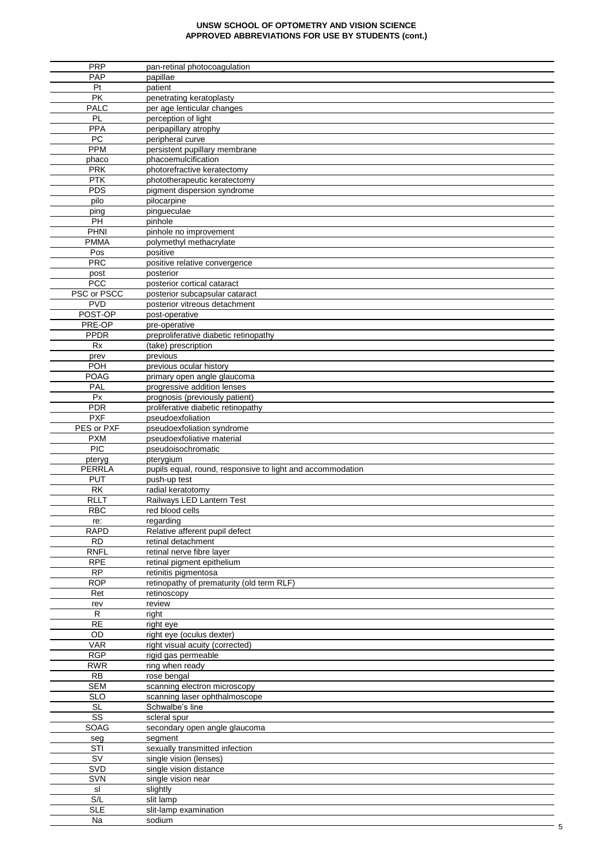| <b>PRP</b>             | pan-retinal photocoagulation                               |
|------------------------|------------------------------------------------------------|
| PAP                    | papillae                                                   |
| Pt                     | patient                                                    |
| PK                     | penetrating keratoplasty                                   |
| PALC                   | per age lenticular changes                                 |
| PL                     |                                                            |
|                        | perception of light                                        |
| <b>PPA</b>             | peripapillary atrophy                                      |
| $\overline{PC}$        | peripheral curve                                           |
| <b>PPM</b>             | persistent pupillary membrane                              |
| phaco                  | phacoemulcification                                        |
| <b>PRK</b>             | photorefractive keratectomy                                |
| <b>PTK</b>             | phototherapeutic keratectomy                               |
| <b>PDS</b>             | pigment dispersion syndrome                                |
| pilo                   | pilocarpine                                                |
| ping                   | pingueculae                                                |
| PH                     | pinhole                                                    |
|                        |                                                            |
| PHNI                   | pinhole no improvement                                     |
| <b>PMMA</b>            | polymethyl methacrylate                                    |
| Pos                    | positive                                                   |
| <b>PRC</b>             | positive relative convergence                              |
| post                   | posterior                                                  |
| <b>PCC</b>             | posterior cortical cataract                                |
| PSC or PSCC            | posterior subcapsular cataract                             |
| <b>PVD</b>             | posterior vitreous detachment                              |
| POST-OP                | post-operative                                             |
| PRE-OP                 | pre-operative                                              |
| <b>PPDR</b>            | preproliferative diabetic retinopathy                      |
|                        |                                                            |
| Rx                     | (take) prescription<br>previous                            |
| prev                   |                                                            |
| <b>POH</b>             | previous ocular history                                    |
| <b>POAG</b>            | primary open angle glaucoma                                |
| PAL                    | progressive addition lenses                                |
| Px                     | prognosis (previously patient)                             |
| <b>PDR</b>             | proliferative diabetic retinopathy                         |
| <b>PXF</b>             | pseudoexfoliation                                          |
| PES or PXF             | pseudoexfoliation syndrome                                 |
| <b>PXM</b>             | pseudoexfoliative material                                 |
| <b>PIC</b>             | pseudoisochromatic                                         |
| pteryg                 | pterygium                                                  |
| <b>PERRLA</b>          | pupils equal, round, responsive to light and accommodation |
| <b>PUT</b>             | push-up test                                               |
| <b>RK</b>              |                                                            |
|                        | radial keratotomy                                          |
| <b>RLLT</b>            | Railways LED Lantern Test                                  |
| <b>RBC</b>             | red blood cells                                            |
| re:                    | regarding                                                  |
| <b>RAPD</b>            | Relative afferent pupil defect                             |
| <b>RD</b>              | retinal detachment                                         |
| <b>RNFL</b>            | retinal nerve fibre layer                                  |
| <b>RPE</b>             | retinal pigment epithelium                                 |
| RP                     | retinitis pigmentosa                                       |
| <b>ROP</b>             | retinopathy of prematurity (old term RLF)                  |
| Ret                    | retinoscopy                                                |
| rev                    | review                                                     |
| R                      | right                                                      |
| ${\sf RE}$             | right eye                                                  |
| OD                     | right eye (oculus dexter)                                  |
| <b>VAR</b>             | right visual acuity (corrected)                            |
| <b>RGP</b>             |                                                            |
|                        | rigid gas permeable                                        |
| <b>RWR</b>             | ring when ready                                            |
| RB                     | rose bengal                                                |
| <b>SEM</b>             | scanning electron microscopy                               |
| <b>SLO</b>             | scanning laser ophthalmoscope                              |
| $\mathsf{SL}% _{2}(k)$ | Schwalbe's line                                            |
| $\overline{\text{ss}}$ | scleral spur                                               |
| SOAG                   | secondary open angle glaucoma                              |
| seg                    | segment                                                    |
| <b>STI</b>             | sexually transmitted infection                             |
| SV                     | single vision (lenses)                                     |
| SVD                    | single vision distance                                     |
| <b>SVN</b>             | single vision near                                         |
| sl                     | slightly                                                   |
|                        |                                                            |
| S/L                    | slit lamp                                                  |
| <b>SLE</b>             | slit-lamp examination                                      |
| Na                     | sodium                                                     |